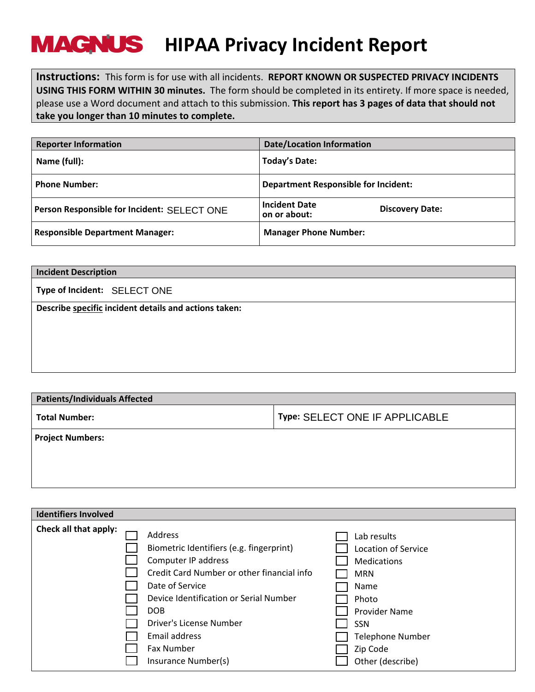## **HIPAA Privacy Incident Report**

**Instructions:** This form is for use with all incidents. **REPORT KNOWN OR SUSPECTED PRIVACY INCIDENTS USING THIS FORM WITHIN 30 minutes.** The form should be completed in its entirety. If more space is needed, please use a Word document and attach to this submission. **This report has 3 pages of data that should not take you longer than 10 minutes to complete.**

| <b>Reporter Information</b>                 | <b>Date/Location Information</b>                               |
|---------------------------------------------|----------------------------------------------------------------|
| Name (full):                                | <b>Today's Date:</b>                                           |
| <b>Phone Number:</b>                        | <b>Department Responsible for Incident:</b>                    |
| Person Responsible for Incident: SELECT ONE | <b>Incident Date</b><br><b>Discovery Date:</b><br>on or about: |
| <b>Responsible Department Manager:</b>      | <b>Manager Phone Number:</b>                                   |

| <b>Incident Description</b>                           |  |
|-------------------------------------------------------|--|
| Type of Incident: SELECT ONE                          |  |
| Describe specific incident details and actions taken: |  |
|                                                       |  |
|                                                       |  |
|                                                       |  |
|                                                       |  |

| <b>Patients/Individuals Affected</b> |                                |  |
|--------------------------------------|--------------------------------|--|
| <b>Total Number:</b>                 | Type: SELECT ONE IF APPLICABLE |  |
| <b>Project Numbers:</b>              |                                |  |
|                                      |                                |  |
|                                      |                                |  |
|                                      |                                |  |

| <b>Identifiers Involved</b> |                                            |                         |
|-----------------------------|--------------------------------------------|-------------------------|
| Check all that apply:       | Address                                    | Lab results             |
|                             | Biometric Identifiers (e.g. fingerprint)   | Location of Service     |
|                             | Computer IP address                        | <b>Medications</b>      |
|                             | Credit Card Number or other financial info | <b>MRN</b>              |
|                             | Date of Service                            | Name                    |
|                             | Device Identification or Serial Number     | Photo                   |
|                             | DOB                                        | Provider Name           |
|                             | Driver's License Number                    | <b>SSN</b>              |
|                             | Email address                              | <b>Telephone Number</b> |
|                             | <b>Fax Number</b>                          | Zip Code                |
|                             | Insurance Number(s)                        | Other (describe)        |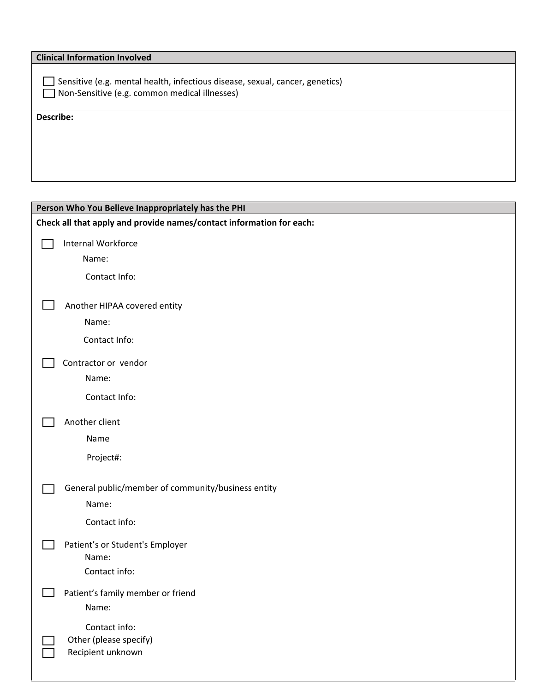| <b>Clinical Information Involved</b>                                                                                          |  |
|-------------------------------------------------------------------------------------------------------------------------------|--|
| Sensitive (e.g. mental health, infectious disease, sexual, cancer, genetics)<br>Non-Sensitive (e.g. common medical illnesses) |  |
| Describe:                                                                                                                     |  |
|                                                                                                                               |  |
|                                                                                                                               |  |
|                                                                                                                               |  |
|                                                                                                                               |  |

| Person Who You Believe Inappropriately has the PHI                   |                                                    |  |
|----------------------------------------------------------------------|----------------------------------------------------|--|
| Check all that apply and provide names/contact information for each: |                                                    |  |
|                                                                      | Internal Workforce                                 |  |
|                                                                      | Name:                                              |  |
|                                                                      | Contact Info:                                      |  |
|                                                                      | Another HIPAA covered entity                       |  |
|                                                                      | Name:                                              |  |
|                                                                      | Contact Info:                                      |  |
|                                                                      | Contractor or vendor                               |  |
|                                                                      | Name:                                              |  |
|                                                                      | Contact Info:                                      |  |
|                                                                      | Another client                                     |  |
|                                                                      | Name                                               |  |
|                                                                      | Project#:                                          |  |
|                                                                      | General public/member of community/business entity |  |
|                                                                      | Name:                                              |  |
|                                                                      | Contact info:                                      |  |
|                                                                      | Patient's or Student's Employer                    |  |
|                                                                      | Name:<br>Contact info:                             |  |
|                                                                      |                                                    |  |
|                                                                      | Patient's family member or friend<br>Name:         |  |
|                                                                      | Contact info:                                      |  |
|                                                                      | Other (please specify)                             |  |
|                                                                      | Recipient unknown                                  |  |
|                                                                      |                                                    |  |